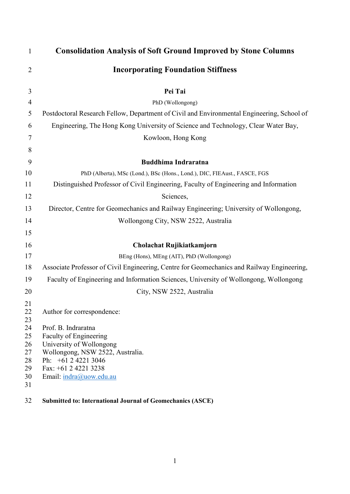| $\mathbf{1}$                                                   | <b>Consolidation Analysis of Soft Ground Improved by Stone Columns</b>                                                                                                                                                |
|----------------------------------------------------------------|-----------------------------------------------------------------------------------------------------------------------------------------------------------------------------------------------------------------------|
| $\overline{2}$                                                 | <b>Incorporating Foundation Stiffness</b>                                                                                                                                                                             |
| 3                                                              | Pei Tai                                                                                                                                                                                                               |
| $\overline{4}$                                                 | PhD (Wollongong)                                                                                                                                                                                                      |
| 5                                                              | Postdoctoral Research Fellow, Department of Civil and Environmental Engineering, School of                                                                                                                            |
| 6                                                              | Engineering, The Hong Kong University of Science and Technology, Clear Water Bay,                                                                                                                                     |
| 7                                                              | Kowloon, Hong Kong                                                                                                                                                                                                    |
| 8                                                              |                                                                                                                                                                                                                       |
| 9                                                              | <b>Buddhima Indraratna</b>                                                                                                                                                                                            |
| 10                                                             | PhD (Alberta), MSc (Lond.), BSc (Hons., Lond.), DIC, FIEAust., FASCE, FGS                                                                                                                                             |
| 11                                                             | Distinguished Professor of Civil Engineering, Faculty of Engineering and Information                                                                                                                                  |
| 12                                                             | Sciences,                                                                                                                                                                                                             |
| 13                                                             | Director, Centre for Geomechanics and Railway Engineering; University of Wollongong,                                                                                                                                  |
| 14                                                             | Wollongong City, NSW 2522, Australia                                                                                                                                                                                  |
| 15                                                             |                                                                                                                                                                                                                       |
| 16                                                             | Cholachat Rujikiatkamjorn                                                                                                                                                                                             |
| 17                                                             | BEng (Hons), MEng (AIT), PhD (Wollongong)                                                                                                                                                                             |
| 18                                                             | Associate Professor of Civil Engineering, Centre for Geomechanics and Railway Engineering,                                                                                                                            |
| 19                                                             | Faculty of Engineering and Information Sciences, University of Wollongong, Wollongong                                                                                                                                 |
| 20                                                             | City, NSW 2522, Australia                                                                                                                                                                                             |
| 21<br>22<br>23<br>24<br>25<br>26<br>27<br>28<br>29<br>30<br>31 | Author for correspondence:<br>Prof. B. Indraratna<br>Faculty of Engineering<br>University of Wollongong<br>Wollongong, NSW 2522, Australia.<br>Ph: +61 2 4221 3046<br>Fax: +61 2 4221 3238<br>Email: indra@uow.edu.au |
| 32                                                             | <b>Submitted to: International Journal of Geomechanics (ASCE)</b>                                                                                                                                                     |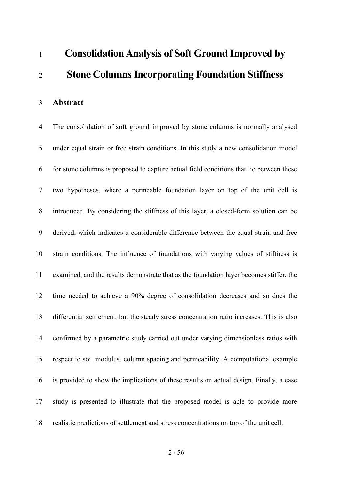# **Consolidation Analysis of Soft Ground Improved by Stone Columns Incorporating Foundation Stiffness**

**Abstract**

 The consolidation of soft ground improved by stone columns is normally analysed under equal strain or free strain conditions. In this study a new consolidation model for stone columns is proposed to capture actual field conditions that lie between these two hypotheses, where a permeable foundation layer on top of the unit cell is introduced. By considering the stiffness of this layer, a closed-form solution can be derived, which indicates a considerable difference between the equal strain and free strain conditions. The influence of foundations with varying values of stiffness is examined, and the results demonstrate that as the foundation layer becomes stiffer, the time needed to achieve a 90% degree of consolidation decreases and so does the differential settlement, but the steady stress concentration ratio increases. This is also confirmed by a parametric study carried out under varying dimensionless ratios with respect to soil modulus, column spacing and permeability. A computational example is provided to show the implications of these results on actual design. Finally, a case study is presented to illustrate that the proposed model is able to provide more realistic predictions of settlement and stress concentrations on top of the unit cell.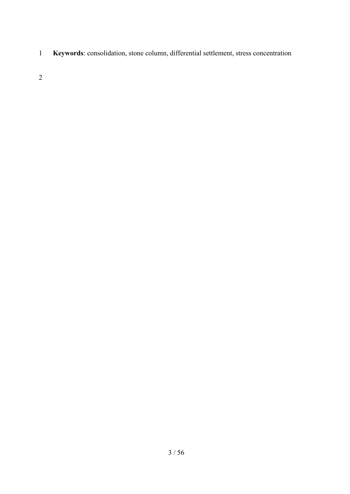**Keywords**: consolidation, stone column, differential settlement, stress concentration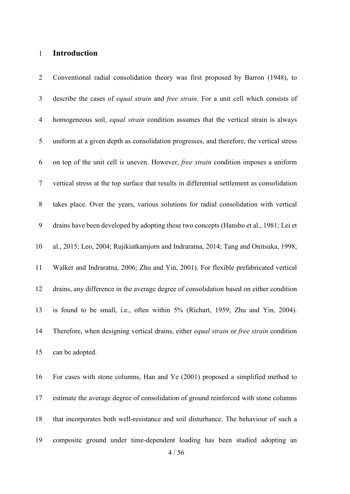#### **Introduction**

 Conventional radial consolidation theory was first proposed by Barron (1948), to describe the cases of *equal strain* and *free strain*. For a unit cell which consists of homogeneous soil, *equal strain* condition assumes that the vertical strain is always uniform at a given depth as consolidation progresses, and therefore, the vertical stress on top of the unit cell is uneven. However, *free strain* condition imposes a uniform vertical stress at the top surface that results in differential settlement as consolidation takes place. Over the years, various solutions for radial consolidation with vertical drains have been developed by adopting these two concepts (Hansbo et al., 1981; Lei et al., 2015; Leo, 2004; Rujikiatkamjorn and Indraratna, 2014; Tang and Onitsuka, 1998; Walker and Indraratna, 2006; Zhu and Yin, 2001). For flexible prefabricated vertical drains, any difference in the average degree of consolidation based on either condition is found to be small, i.e., often within 5% (Richart, 1959; Zhu and Yin, 2004). Therefore, when designing vertical drains, either *equal strain* or *free strain* condition can be adopted. For cases with stone columns, Han and Ye (2001) proposed a simplified method to estimate the average degree of consolidation of ground reinforced with stone columns

that incorporates both well-resistance and soil disturbance. The behaviour of such a

composite ground under time-dependent loading has been studied adopting an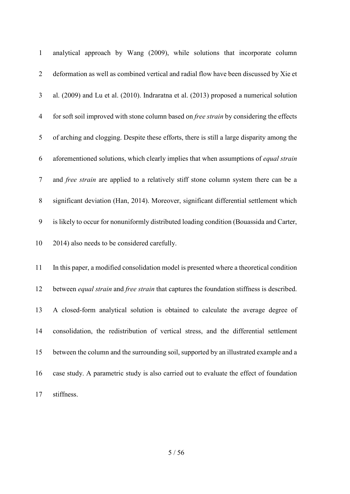| $\mathbf{1}$   | analytical approach by Wang (2009), while solutions that incorporate column                |
|----------------|--------------------------------------------------------------------------------------------|
| $\overline{2}$ | deformation as well as combined vertical and radial flow have been discussed by Xie et     |
| 3              | al. (2009) and Lu et al. (2010). Indraratna et al. (2013) proposed a numerical solution    |
| $\overline{4}$ | for soft soil improved with stone column based on free strain by considering the effects   |
| 5              | of arching and clogging. Despite these efforts, there is still a large disparity among the |
| 6              | aforementioned solutions, which clearly implies that when assumptions of equal strain      |
| $\overline{7}$ | and free strain are applied to a relatively stiff stone column system there can be a       |
| $8\phantom{.}$ | significant deviation (Han, 2014). Moreover, significant differential settlement which     |
| 9              | is likely to occur for nonuniformly distributed loading condition (Bouassida and Carter,   |
| 10             | 2014) also needs to be considered carefully.                                               |
| 11             | In this paper, a modified consolidation model is presented where a theoretical condition   |
| 12             | between equal strain and free strain that captures the foundation stiffness is described.  |
| 13             | A closed-form analytical solution is obtained to calculate the average degree of           |
| 14             | consolidation, the redistribution of vertical stress, and the differential settlement      |
| 15             | between the column and the surrounding soil, supported by an illustrated example and a     |
| 16             | case study. A parametric study is also carried out to evaluate the effect of foundation    |
| 17             | stiffness.                                                                                 |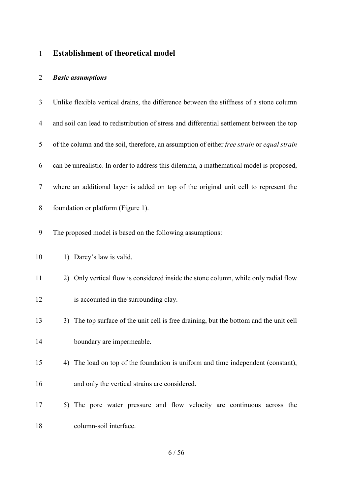# **Establishment of theoretical model**

# *Basic assumptions*

| 3              | Unlike flexible vertical drains, the difference between the stiffness of a stone column    |
|----------------|--------------------------------------------------------------------------------------------|
| $\overline{4}$ | and soil can lead to redistribution of stress and differential settlement between the top  |
| 5              | of the column and the soil, therefore, an assumption of either free strain or equal strain |
| 6              | can be unrealistic. In order to address this dilemma, a mathematical model is proposed,    |
| 7              | where an additional layer is added on top of the original unit cell to represent the       |
| 8              | foundation or platform (Figure 1).                                                         |
| 9              | The proposed model is based on the following assumptions:                                  |
| 10             | 1) Darcy's law is valid.                                                                   |
| 11             | 2) Only vertical flow is considered inside the stone column, while only radial flow        |
| 12             | is accounted in the surrounding clay.                                                      |
| 13             | 3) The top surface of the unit cell is free draining, but the bottom and the unit cell     |
| 14             | boundary are impermeable.                                                                  |
| 15             | 4) The load on top of the foundation is uniform and time independent (constant),           |
| 16             | and only the vertical strains are considered.                                              |
| 17             | 5) The pore water pressure and flow velocity are continuous across the                     |
| 18             | column-soil interface.                                                                     |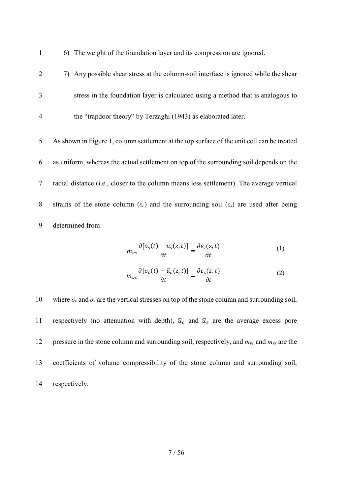1 6) The weight of the foundation layer and its compression are ignored.

- 2 7) Any possible shear stress at the column-soil interface is ignored while the shear 3 stress in the foundation layer is calculated using a method that is analogous to 4 the "trapdoor theory" by Terzaghi (1943) as elaborated later.
- 5 As shown in Figure 1, column settlement at the top surface of the unit cell can be treated 6 as uniform, whereas the actual settlement on top of the surrounding soil depends on the 7 radial distance (i.e., closer to the column means less settlement). The average vertical 8 strains of the stone column (*εc*) and the surrounding soil (*εs*) are used after being 9 determined from:

$$
m_{\nu s} \frac{\partial \left[\sigma_s(t) - \bar{u}_s(z, t)\right]}{\partial t} = \frac{\partial \varepsilon_s(z, t)}{\partial t} \tag{1}
$$

$$
m_{vc} \frac{\partial \left[\sigma_c(t) - \bar{u}_c(z, t)\right]}{\partial t} = \frac{\partial \varepsilon_c(z, t)}{\partial t} \tag{2}
$$

10 where  $\sigma_c$  and  $\sigma_s$  are the vertical stresses on top of the stone column and surrounding soil, 11 respectively (no attenuation with depth),  $\bar{u}_c$  and  $\bar{u}_s$  are the average excess pore 12 pressure in the stone column and surrounding soil, respectively, and *mvc* and *mvs* are the 13 coefficients of volume compressibility of the stone column and surrounding soil, 14 respectively.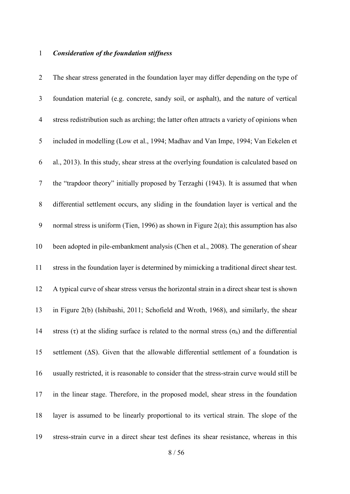# *Consideration of the foundation stiffness*

| $\overline{2}$   | The shear stress generated in the foundation layer may differ depending on the type of                       |
|------------------|--------------------------------------------------------------------------------------------------------------|
| $\mathfrak{Z}$   | foundation material (e.g. concrete, sandy soil, or asphalt), and the nature of vertical                      |
| $\overline{4}$   | stress redistribution such as arching; the latter often attracts a variety of opinions when                  |
| 5                | included in modelling (Low et al., 1994; Madhav and Van Impe, 1994; Van Eekelen et                           |
| 6                | al., 2013). In this study, shear stress at the overlying foundation is calculated based on                   |
| $\tau$           | the "trapdoor theory" initially proposed by Terzaghi (1943). It is assumed that when                         |
| $8\,$            | differential settlement occurs, any sliding in the foundation layer is vertical and the                      |
| $\boldsymbol{9}$ | normal stress is uniform (Tien, 1996) as shown in Figure 2(a); this assumption has also                      |
| 10               | been adopted in pile-embankment analysis (Chen et al., 2008). The generation of shear                        |
| 11               | stress in the foundation layer is determined by mimicking a traditional direct shear test.                   |
| 12               | A typical curve of shear stress versus the horizontal strain in a direct shear test is shown                 |
| 13               | in Figure 2(b) (Ishibashi, 2011; Schofield and Wroth, 1968), and similarly, the shear                        |
| 14               | stress ( $\tau$ ) at the sliding surface is related to the normal stress ( $\sigma_h$ ) and the differential |
| 15               | settlement $( \Delta S)$ . Given that the allowable differential settlement of a foundation is               |
| 16               | usually restricted, it is reasonable to consider that the stress-strain curve would still be                 |
| 17               | in the linear stage. Therefore, in the proposed model, shear stress in the foundation                        |
| 18               | layer is assumed to be linearly proportional to its vertical strain. The slope of the                        |
| 19               | stress-strain curve in a direct shear test defines its shear resistance, whereas in this                     |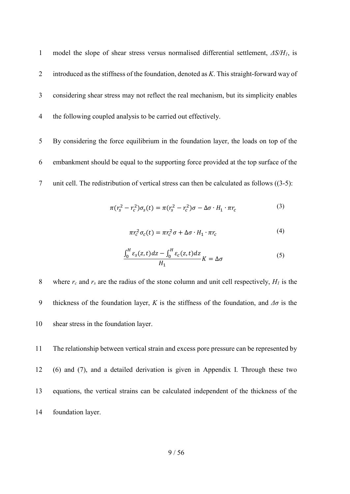model the slope of shear stress versus normalised differential settlement, *ΔS/H1*, is introduced as the stiffness of the foundation, denoted as *K*. This straight-forward way of considering shear stress may not reflect the real mechanism, but its simplicity enables the following coupled analysis to be carried out effectively.

 By considering the force equilibrium in the foundation layer, the loads on top of the embankment should be equal to the supporting force provided at the top surface of the unit cell. The redistribution of vertical stress can then be calculated as follows [\(\(3-](#page-8-0)5):

$$
\pi(r_s^2 - r_c^2)\sigma_s(t) = \pi(r_s^2 - r_c^2)\sigma - \Delta\sigma \cdot H_1 \cdot \pi r_c \tag{3}
$$

<span id="page-8-0"></span>
$$
\pi r_c^2 \sigma_c(t) = \pi r_c^2 \sigma + \Delta \sigma \cdot H_1 \cdot \pi r_c \tag{4}
$$

$$
\frac{\int_0^H \varepsilon_s(z,t)dz - \int_0^H \varepsilon_c(z,t)dz}{H_1}K = \Delta\sigma
$$
\n(5)

8 where  $r_c$  and  $r_s$  are the radius of the stone column and unit cell respectively,  $H_l$  is the 9 thickness of the foundation layer, *K* is the stiffness of the foundation, and  $\Delta\sigma$  is the shear stress in the foundation layer.

 The relationship between vertical strain and excess pore pressure can be represented by [\(6\)](#page-9-0) and (7), and a detailed derivation is given in Appendix I. Through these two equations, the vertical strains can be calculated independent of the thickness of the foundation layer.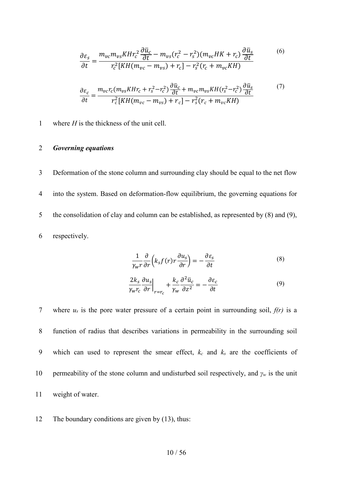<span id="page-9-2"></span><span id="page-9-0"></span>
$$
\frac{\partial \varepsilon_{S}}{\partial t} = \frac{m_{vc}m_{vs}K H r_{c}^{2} \frac{\partial \bar{u}_{c}}{\partial t} - m_{vs}(r_{c}^{2} - r_{s}^{2})(m_{vc}HK + r_{c}) \frac{\partial \bar{u}_{s}}{\partial t}}{r_{c}^{2}[KH(m_{vc} - m_{vs}) + r_{c}] - r_{s}^{2}(r_{c} + m_{vc}KH)}
$$
\n
$$
\frac{\partial \varepsilon_{c}}{\partial t} = \frac{m_{vc}r_{c}(m_{vs}K H r_{c} + r_{s}^{2} - r_{c}^{2}) \frac{\partial \bar{u}_{c}}{\partial t} + m_{vc}m_{vs}KH(r_{s}^{2} - r_{c}^{2}) \frac{\partial \bar{u}_{s}}{\partial t}}{r_{c}^{2}[KH(m_{vc} - m_{vs}) + r_{c}] - r_{s}^{2}(r_{c} + m_{vc}KH)}
$$
\n(7)

1 where *H* is the thickness of the unit cell.

#### 2 *Governing equations*

 Deformation of the stone column and surrounding clay should be equal to the net flow into the system. Based on deformation-flow equilibrium, the governing equations for the consolidation of clay and column can be established, as represented by [\(8\)](#page-9-1) and (9), respectively.

<span id="page-9-3"></span><span id="page-9-1"></span>
$$
\frac{1}{\gamma_W r} \frac{\partial}{\partial r} \left( k_s f(r) r \frac{\partial u_s}{\partial r} \right) = -\frac{\partial \varepsilon_s}{\partial t}
$$
\n(8)

$$
\frac{2k_s}{\gamma_w r_c} \frac{\partial u_s}{\partial r} \Big|_{r=r_c} + \frac{k_c}{\gamma_w} \frac{\partial^2 \bar{u}_c}{\partial z^2} = -\frac{\partial \varepsilon_c}{\partial t}
$$
(9)

 where *us* is the pore water pressure of a certain point in surrounding soil, *f(r)* is a function of radius that describes variations in permeability in the surrounding soil which can used to represent the smear effect, *kc* and *ks* are the coefficients of permeability of the stone column and undisturbed soil respectively, and *γ<sup>w</sup>* is the unit weight of water.

12 The boundary conditions are given by [\(13\)](#page-10-0), thus: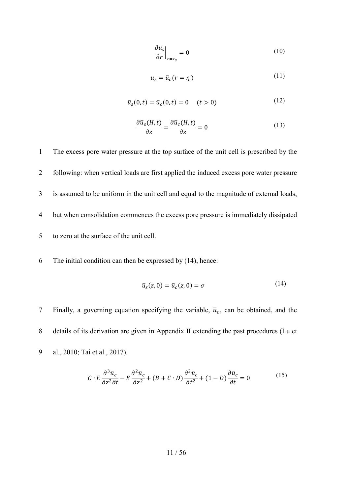<span id="page-10-2"></span>
$$
\left. \frac{\partial u_s}{\partial r} \right|_{r=r_s} = 0 \tag{10}
$$

<span id="page-10-0"></span>
$$
u_s = \bar{u}_c (r = r_c) \tag{11}
$$

$$
\bar{u}_s(0,t) = \bar{u}_c(0,t) = 0 \quad (t > 0)
$$
\n(12)

$$
\frac{\partial \bar{u}_s(H,t)}{\partial z} = \frac{\partial \bar{u}_c(H,t)}{\partial z} = 0
$$
\n(13)

 The excess pore water pressure at the top surface of the unit cell is prescribed by the following: when vertical loads are first applied the induced excess pore water pressure is assumed to be uniform in the unit cell and equal to the magnitude of external loads, but when consolidation commences the excess pore pressure is immediately dissipated to zero at the surface of the unit cell.

6 The initial condition can then be expressed by [\(14\)](#page-10-1), hence:

<span id="page-10-1"></span>
$$
\bar{u}_s(z,0) = \bar{u}_c(z,0) = \sigma \tag{14}
$$

7 Finally, a governing equation specifying the variable,  $\bar{u}_c$ , can be obtained, and the 8 details of its derivation are given in Appendix II extending the past procedures (Lu et 9 al., 2010; Tai et al., 2017).

$$
C \cdot E \frac{\partial^3 \bar{u}_c}{\partial z^2 \partial t} - E \frac{\partial^2 \bar{u}_c}{\partial z^2} + (B + C \cdot D) \frac{\partial^2 \bar{u}_c}{\partial t^2} + (1 - D) \frac{\partial \bar{u}_c}{\partial t} = 0
$$
 (15)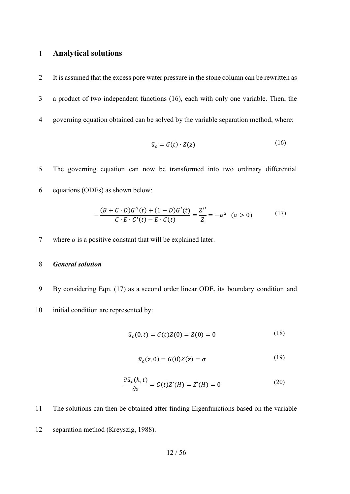#### 1 **Analytical solutions**

2 It is assumed that the excess pore water pressure in the stone column can be rewritten as 3 a product of two independent functions [\(16\)](#page-11-0), each with only one variable. Then, the 4 governing equation obtained can be solved by the variable separation method, where:

<span id="page-11-1"></span><span id="page-11-0"></span>
$$
\bar{u}_c = G(t) \cdot Z(z) \tag{16}
$$

5 The governing equation can now be transformed into two ordinary differential 6 equations (ODEs) as shown below:

$$
-\frac{(B+C \cdot D)G''(t) + (1-D)G'(t)}{C \cdot E \cdot G'(t) - E \cdot G(t)} = \frac{Z''}{Z} = -\alpha^2 \quad (\alpha > 0)
$$
 (17)

7 where  $\alpha$  is a positive constant that will be explained later.

#### 8 *General solution*

- 9 By considering Eqn. [\(17\)](#page-11-1) as a second order linear ODE, its boundary condition and
- 10 initial condition are represented by:

$$
\bar{u}_c(0,t) = G(t)Z(0) = Z(0) = 0
$$
\n(18)

$$
\bar{u}_c(z,0) = G(0)Z(z) = \sigma \tag{19}
$$

$$
\frac{\partial \bar{u}_c(h,t)}{\partial z} = G(t)Z'(H) = Z'(H) = 0 \tag{20}
$$

11 The solutions can then be obtained after finding Eigenfunctions based on the variable

12 separation method (Kreyszig, 1988).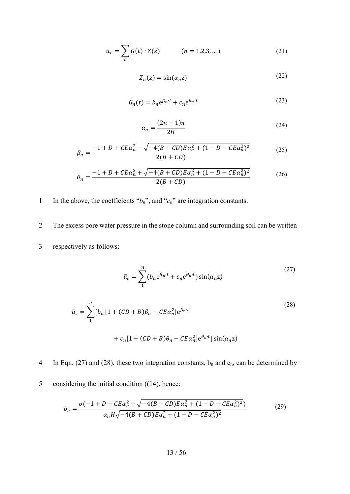$$
\bar{u}_c = \sum_n G(t) \cdot Z(z) \qquad (n = 1, 2, 3, ...)
$$
 (21)

$$
Z_n(z) = \sin(\alpha_n z) \tag{22}
$$

$$
G_n(t) = b_n e^{\beta_n \cdot t} + c_n e^{\theta_n \cdot t} \tag{23}
$$

$$
\alpha_n = \frac{(2n-1)\pi}{2H} \tag{24}
$$

$$
\beta_n = \frac{-1 + D + CE\alpha_n^2 - \sqrt{-4(B + CD)E\alpha_n^2 + (1 - D - CE\alpha_n^2)^2}}{2(B + CD)}
$$
(25)

$$
\theta_n = \frac{-1 + D + CE\alpha_n^2 + \sqrt{-4(B + CD)E\alpha_n^2 + (1 - D - CE\alpha_n^2)^2}}{2(B + CD)}
$$
(26)

- 1 In the above, the coefficients " $b_n$ ", and " $c_n$ " are integration constants.
- 2 The excess pore water pressure in the stone column and surrounding soil can be written 3 respectively as follows:

<span id="page-12-1"></span><span id="page-12-0"></span>
$$
\bar{u}_c = \sum_{1}^{n} (b_n e^{\beta_n \cdot t} + c_n e^{\theta_n \cdot t}) \sin(\alpha_n z)
$$
\n(27)

$$
\bar{u}_s = \sum_{1}^{n} [b_n [1 + (CD + B)\beta_n - CE\alpha_n^2] e^{\beta_n \cdot t} + c_n [1 + (CD + B)\theta_n - CE\alpha_n^2] e^{\theta_n \cdot t}] \sin(\alpha_n z)
$$
\n(28)

4 In Eqn. [\(27\)](#page-12-0) and [\(28\),](#page-12-1) these two integration constants,  $b_n$  and  $c_n$ , can be determined by

5 considering the initial condition [\(\(14\)](#page-10-1), hence:

$$
b_n = \frac{\sigma(-1 + D - CE\alpha_n^2 + \sqrt{-4(B + CD)E\alpha_n^2 + (1 - D - CE\alpha_n^2)^2})}{\alpha_n H \sqrt{-4(B + CD)E\alpha_n^2 + (1 - D - CE\alpha_n^2)^2}}
$$
(29)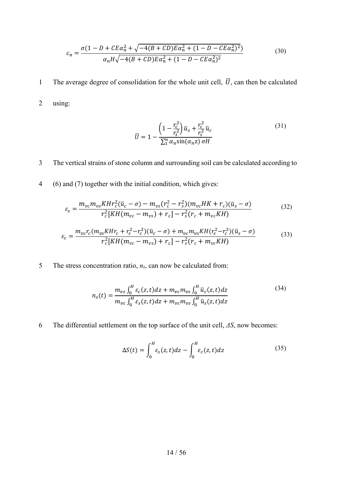$$
c_n = \frac{\sigma(1 - D + CE\alpha_n^2 + \sqrt{-4(B + CD)E\alpha_n^2 + (1 - D - CE\alpha_n^2)^2})}{\alpha_n H \sqrt{-4(B + CD)E\alpha_n^2 + (1 - D - CE\alpha_n^2)^2}}
$$
(30)

1 The average degree of consolidation for the whole unit cell,  $\overline{U}$ , can then be calculated

2 using:

$$
\overline{U} = 1 - \frac{\left(1 - \frac{r_c^2}{r_s^2}\right)\overline{u}_s + \frac{r_c^2}{r_s^2}\overline{u}_c}{\sum_{1}^{n} \alpha_n \sin(\alpha_n z) \sigma H}
$$
\n(31)

#### 3 The vertical strains of stone column and surrounding soil can be calculated according to

4 [\(6\)](#page-9-0) and [\(7\)](#page-9-2) together with the initial condition, which gives:

$$
\varepsilon_{s} = \frac{m_{vc}m_{vs}K H r_{c}^{2}(\bar{u}_{c}-\sigma) - m_{vs}(r_{c}^{2}-r_{s}^{2})(m_{vc}HK+r_{c})(\bar{u}_{s}-\sigma)}{r_{c}^{2}[KH(m_{vc}-m_{vs})+r_{c}]-r_{s}^{2}(r_{c}+m_{vc}KH)}
$$
(32)

$$
\varepsilon_c = \frac{m_{vc}r_c(m_{vs}KHr_c + r_s^2 - r_c^2)(\bar{u}_c - \sigma) + m_{vc}m_{vs}KH(r_s^2 - r_c^2)(\bar{u}_s - \sigma)}{r_c^2[KH(m_{vc} - m_{vs}) + r_c] - r_s^2(r_c + m_{vc}KH)}\tag{33}
$$

5 The stress concentration ratio, *ns*, can now be calculated from:

$$
n_{s}(t) = \frac{m_{vs} \int_{0}^{H} \varepsilon_{c}(z, t) dz + m_{vc} m_{vs} \int_{0}^{H} \bar{u}_{c}(z, t) dz}{m_{vc} \int_{0}^{H} \varepsilon_{s}(z, t) dz + m_{vc} m_{vs} \int_{0}^{H} \bar{u}_{s}(z, t) dz}
$$
(34)

6 The differential settlement on the top surface of the unit cell, *ΔS*, now becomes:

<span id="page-13-0"></span>
$$
\Delta S(t) = \int_0^H \varepsilon_s(z, t) dz - \int_0^H \varepsilon_c(z, t) dz
$$
\n(35)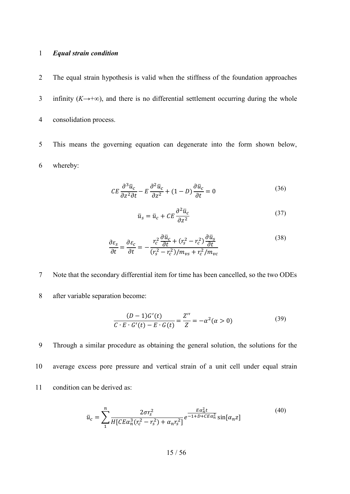#### 1 *Equal strain condition*

- 2 The equal strain hypothesis is valid when the stiffness of the foundation approaches 3 infinity (*K*→+∞), and there is no differential settlement occurring during the whole 4 consolidation process.
- 5 This means the governing equation can degenerate into the form shown below, 6 whereby:

$$
CE\frac{\partial^3 \bar{u}_c}{\partial z^2 \partial t} - E\frac{\partial^2 \bar{u}_c}{\partial z^2} + (1 - D)\frac{\partial \bar{u}_c}{\partial t} = 0
$$
\n(36)

$$
\bar{u}_s = \bar{u}_c + CE \frac{\partial^2 \bar{u}_c}{\partial z^2} \tag{37}
$$

$$
\frac{\partial \varepsilon_{s}}{\partial t} = \frac{\partial \varepsilon_{c}}{\partial t} = -\frac{r_{c}^{2} \frac{\partial \bar{u}_{c}}{\partial t} + (r_{s}^{2} - r_{c}^{2}) \frac{\partial \bar{u}_{s}}{\partial t}}{(r_{s}^{2} - r_{c}^{2})/m_{vs} + r_{c}^{2}/m_{vc}}
$$
(38)

- 7 Note that the secondary differential item for time has been cancelled, so the two ODEs
- 8 after variable separation become:

$$
\frac{(D-1)G'(t)}{C \cdot E \cdot G'(t) - E \cdot G(t)} = \frac{Z''}{Z} = -\alpha^2 (\alpha > 0)
$$
\n(39)

9 Through a similar procedure as obtaining the general solution, the solutions for the 10 average excess pore pressure and vertical strain of a unit cell under equal strain 11 condition can be derived as:

$$
\bar{u}_c = \sum_{1}^{n} \frac{2\sigma r_s^2}{H[CE\alpha_n^3(r_c^2 - r_s^2) + \alpha_n r_s^2]} e^{\frac{E\alpha_n^2 t}{-1 + D + CE\alpha_n^2}} \sin[\alpha_n z]
$$
\n(40)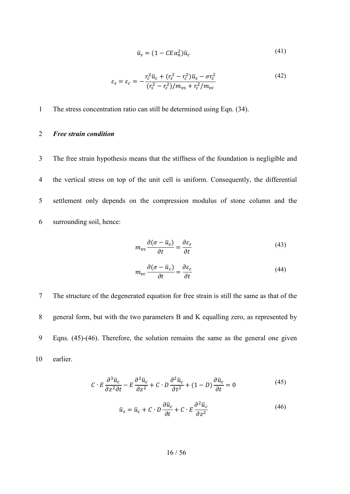$$
\bar{u}_s = (1 - CE\alpha_n^2)\bar{u}_c \tag{41}
$$

$$
\varepsilon_{s} = \varepsilon_{c} = -\frac{r_{c}^{2}\bar{u}_{c} + (r_{s}^{2} - r_{c}^{2})\bar{u}_{s} - \sigma r_{s}^{2}}{(r_{s}^{2} - r_{c}^{2})/m_{vs} + r_{c}^{2}/m_{vc}}
$$
(42)

1 The stress concentration ratio can still be determined using Eqn. [\(34\)](#page-13-0).

#### 2 *Free strain condition*

 The free strain hypothesis means that the stiffness of the foundation is negligible and the vertical stress on top of the unit cell is uniform. Consequently, the differential settlement only depends on the compression modulus of stone column and the surrounding soil, hence:

$$
m_{\nu s} \frac{\partial (\sigma - \bar{u}_s)}{\partial t} = \frac{\partial \varepsilon_s}{\partial t}
$$
 (43)

$$
m_{vc} \frac{\partial (\sigma - \bar{u}_c)}{\partial t} = \frac{\partial \varepsilon_c}{\partial t}
$$
 (44)

 The structure of the degenerated equation for free strain is still the same as that of the general form, but with the two parameters B and K equalling zero, as represented by Eqns. (45)-(46). Therefore, the solution remains the same as the general one given 10 earlier.

$$
C \cdot E \frac{\partial^3 \bar{u}_c}{\partial z^2 \partial t} - E \frac{\partial^2 \bar{u}_c}{\partial z^2} + C \cdot D \frac{\partial^2 \bar{u}_c}{\partial t^2} + (1 - D) \frac{\partial \bar{u}_c}{\partial t} = 0
$$
 (45)

$$
\bar{u}_s = \bar{u}_c + C \cdot D \frac{\partial \bar{u}_c}{\partial t} + C \cdot E \frac{\partial^2 \bar{u}_c}{\partial z^2}
$$
\n(46)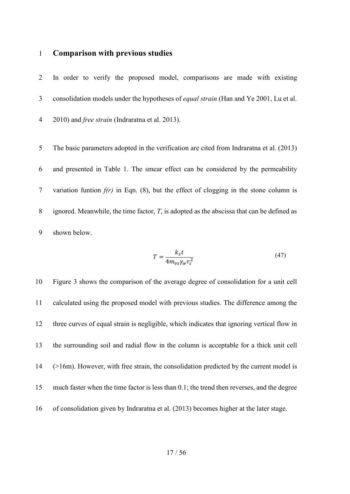#### **Comparison with previous studies**

 In order to verify the proposed model, comparisons are made with existing consolidation models under the hypotheses of *equal strain* (Han and Ye 2001, Lu et al. 2010) and *free strain* (Indraratna et al. 2013).

 The basic parameters adopted in the verification are cited from Indraratna et al. (2013) and presented in [Table 1.](#page-38-0) The smear effect can be considered by the permeability variation funtion *f(r)* in Eqn. [\(8\),](#page-9-1) but the effect of clogging in the stone column is ignored. Meanwhile, the time factor, *T*, is adopted as the abscissa that can be defined as shown below.

$$
T = \frac{k_s t}{4m_{vs} \gamma_w r_s^2} \tag{47}
$$

 [Figure 3](#page-45-0) shows the comparison of the average degree of consolidation for a unit cell calculated using the proposed model with previous studies. The difference among the three curves of equal strain is negligible, which indicates that ignoring vertical flow in the surrounding soil and radial flow in the column is acceptable for a thick unit cell (>16m). However, with free strain, the consolidation predicted by the current model is much faster when the time factor is less than 0.1; the trend then reverses, and the degree of consolidation given by Indraratna et al. (2013) becomes higher at the later stage.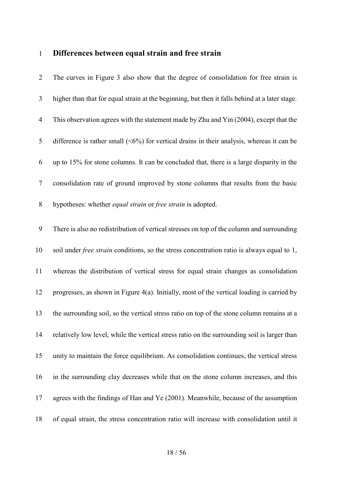# **Differences between equal strain and free strain**

| $\overline{2}$ | The curves in Figure 3 also show that the degree of consolidation for free strain is              |
|----------------|---------------------------------------------------------------------------------------------------|
| 3              | higher than that for equal strain at the beginning, but then it falls behind at a later stage.    |
| $\overline{4}$ | This observation agrees with the statement made by Zhu and Yin (2004), except that the            |
| 5              | difference is rather small $(5\%)$ for vertical drains in their analysis, whereas it can be       |
| 6              | up to 15% for stone columns. It can be concluded that, there is a large disparity in the          |
| $\tau$         | consolidation rate of ground improved by stone columns that results from the basic                |
| $8\phantom{.}$ | hypotheses: whether equal strain or free strain is adopted.                                       |
| 9              | There is also no redistribution of vertical stresses on top of the column and surrounding         |
| 10             | soil under <i>free strain</i> conditions, so the stress concentration ratio is always equal to 1, |
| 11             | whereas the distribution of vertical stress for equal strain changes as consolidation             |
| 12             | progresses, as shown in Figure 4(a). Initially, most of the vertical loading is carried by        |
| 13             | the surrounding soil, so the vertical stress ratio on top of the stone column remains at a        |
| 14             | relatively low level, while the vertical stress ratio on the surrounding soil is larger than      |
| 15             | unity to maintain the force equilibrium. As consolidation continues, the vertical stress          |
| 16             | in the surrounding clay decreases while that on the stone column increases, and this              |
| 17             | agrees with the findings of Han and Ye (2001). Meanwhile, because of the assumption               |
| 18             | of equal strain, the stress concentration ratio will increase with consolidation until it         |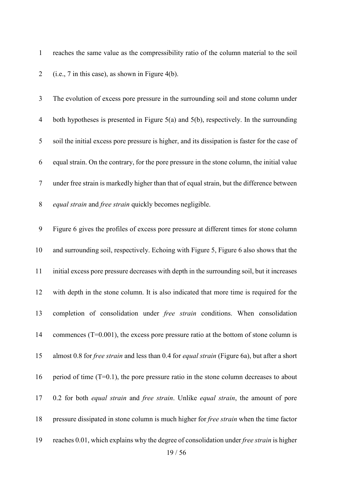reaches the same value as the compressibility ratio of the column material to the soil (i.e., 7 in this case), as shown in Figure 4(b).

 The evolution of excess pore pressure in the surrounding soil and stone column under both hypotheses is presented in [Figure 5\(](#page-47-0)a) and 5(b), respectively. In the surrounding soil the initial excess pore pressure is higher, and its dissipation is faster for the case of equal strain. On the contrary, for the pore pressure in the stone column, the initial value under free strain is markedly higher than that of equal strain, but the difference between *equal strain* and *free strain* quickly becomes negligible.

 [Figure 6](#page-48-0) gives the profiles of excess pore pressure at different times for stone column and surrounding soil, respectively. Echoing with Figure 5, [Figure 6](#page-48-0) also shows that the initial excess pore pressure decreases with depth in the surrounding soil, but it increases with depth in the stone column. It is also indicated that more time is required for the completion of consolidation under *free strain* conditions. When consolidation 14 commences (T=0.001), the excess pore pressure ratio at the bottom of stone column is almost 0.8 for *free strain* and less than 0.4 for *equal strain* [\(Figure 6a](#page-48-0)), but after a short 16 period of time  $(T=0.1)$ , the pore pressure ratio in the stone column decreases to about 0.2 for both *equal strain* and *free strain*. Unlike *equal strain*, the amount of pore pressure dissipated in stone column is much higher for *free strain* when the time factor reaches 0.01, which explains why the degree of consolidation under *free strain* is higher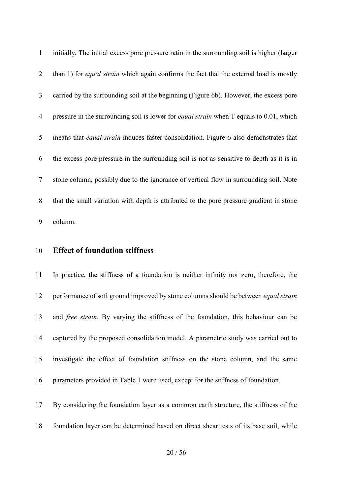initially. The initial excess pore pressure ratio in the surrounding soil is higher (larger than 1) for *equal strain* which again confirms the fact that the external load is mostly carried by the surrounding soil at the beginning [\(Figure 6b](#page-48-0)). However, the excess pore pressure in the surrounding soil is lower for *equal strain* when T equals to 0.01, which means that *equal strain* induces faster consolidation. [Figure 6](#page-48-0) also demonstrates that the excess pore pressure in the surrounding soil is not as sensitive to depth as it is in stone column, possibly due to the ignorance of vertical flow in surrounding soil. Note that the small variation with depth is attributed to the pore pressure gradient in stone column.

#### **Effect of foundation stiffness**

 In practice, the stiffness of a foundation is neither infinity nor zero, therefore, the performance of soft ground improved by stone columns should be between *equal strain* and *free strain*. By varying the stiffness of the foundation, this behaviour can be captured by the proposed consolidation model. A parametric study was carried out to investigate the effect of foundation stiffness on the stone column, and the same parameters provided in [Table 1](#page-38-0) were used, except for the stiffness of foundation.

- By considering the foundation layer as a common earth structure, the stiffness of the
- foundation layer can be determined based on direct shear tests of its base soil, while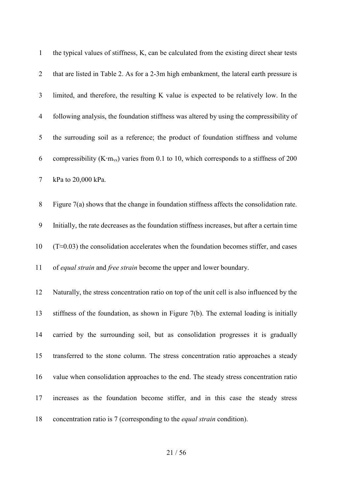| $\mathbf{1}$   | the typical values of stiffness, K, can be calculated from the existing direct shear tests          |
|----------------|-----------------------------------------------------------------------------------------------------|
| $\overline{2}$ | that are listed in Table 2. As for a 2-3m high embankment, the lateral earth pressure is            |
| 3              | limited, and therefore, the resulting K value is expected to be relatively low. In the              |
| $\overline{4}$ | following analysis, the foundation stiffness was altered by using the compressibility of            |
| 5              | the surrouding soil as a reference; the product of foundation stiffness and volume                  |
| 6              | compressibility (K·m <sub>vs</sub> ) varies from 0.1 to 10, which corresponds to a stiffness of 200 |
| $\tau$         | kPa to 20,000 kPa.                                                                                  |
| $8\,$          | Figure $7(a)$ shows that the change in foundation stiffness affects the consolidation rate.         |
| 9              | Initially, the rate decreases as the foundation stiffness increases, but after a certain time       |
| 10             | $(T \approx 0.03)$ the consolidation accelerates when the foundation becomes stiffer, and cases     |
| 11             | of equal strain and free strain become the upper and lower boundary.                                |
| 12             | Naturally, the stress concentration ratio on top of the unit cell is also influenced by the         |
| 13             | stiffness of the foundation, as shown in Figure $7(b)$ . The external loading is initially          |
| 14             | carried by the surrounding soil, but as consolidation progresses it is gradually                    |
| 15             | transferred to the stone column. The stress concentration ratio approaches a steady                 |
| 16             | value when consolidation approaches to the end. The steady stress concentration ratio               |
| 17             | increases as the foundation become stiffer, and in this case the steady stress                      |
| 18             | concentration ratio is 7 (corresponding to the <i>equal strain</i> condition).                      |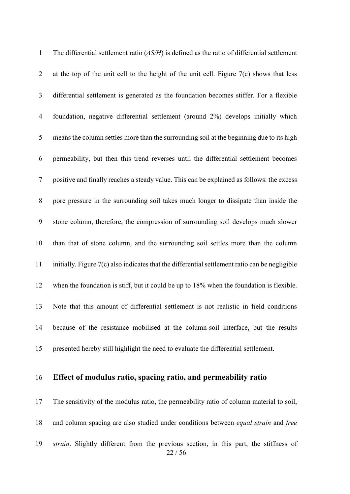| $\mathbf{1}$   | The differential settlement ratio $(\Delta S/H)$ is defined as the ratio of differential settlement |
|----------------|-----------------------------------------------------------------------------------------------------|
| 2              | at the top of the unit cell to the height of the unit cell. Figure $7(c)$ shows that less           |
| 3              | differential settlement is generated as the foundation becomes stiffer. For a flexible              |
| $\overline{4}$ | foundation, negative differential settlement (around 2%) develops initially which                   |
| 5              | means the column settles more than the surrounding soil at the beginning due to its high            |
| 6              | permeability, but then this trend reverses until the differential settlement becomes                |
| 7              | positive and finally reaches a steady value. This can be explained as follows: the excess           |
| 8              | pore pressure in the surrounding soil takes much longer to dissipate than inside the                |
| 9              | stone column, therefore, the compression of surrounding soil develops much slower                   |
| 10             | than that of stone column, and the surrounding soil settles more than the column                    |
| 11             | initially. Figure 7(c) also indicates that the differential settlement ratio can be negligible      |
| 12             | when the foundation is stiff, but it could be up to 18% when the foundation is flexible.            |
| 13             | Note that this amount of differential settlement is not realistic in field conditions               |
| 14             | because of the resistance mobilised at the column-soil interface, but the results                   |
| 15             | presented hereby still highlight the need to evaluate the differential settlement.                  |

# **Effect of modulus ratio, spacing ratio, and permeability ratio**

 / 56 The sensitivity of the modulus ratio, the permeability ratio of column material to soil, and column spacing are also studied under conditions between *equal strain* and *free strain*. Slightly different from the previous section, in this part, the stiffness of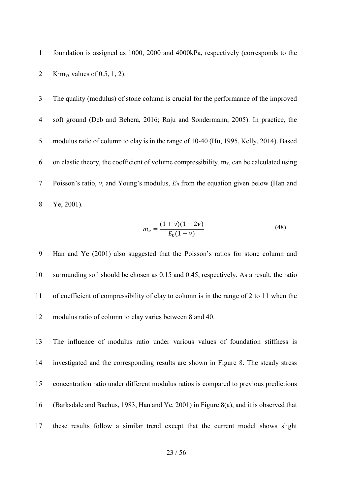foundation is assigned as 1000, 2000 and 4000kPa, respectively (corresponds to the 2 K⋅m<sub>vs</sub> values of 0.5, 1, 2).

 The quality (modulus) of stone column is crucial for the performance of the improved soft ground (Deb and Behera, 2016; Raju and Sondermann, 2005). In practice, the modulus ratio of column to clay is in the range of 10-40 (Hu, 1995, Kelly, 2014). Based 6 on elastic theory, the coefficient of volume compressibility,  $m_v$ , can be calculated using Poisson's ratio, *ν*, and Young's modulus, *E0* from the equation given below (Han and Ye, 2001).

$$
m_{\nu} = \frac{(1+\nu)(1-2\nu)}{E_0(1-\nu)}\tag{48}
$$

 Han and Ye (2001) also suggested that the Poisson's ratios for stone column and surrounding soil should be chosen as 0.15 and 0.45, respectively. As a result, the ratio of coefficient of compressibility of clay to column is in the range of 2 to 11 when the modulus ratio of column to clay varies between 8 and 40.

 The influence of modulus ratio under various values of foundation stiffness is investigated and the corresponding results are shown in [Figure 8.](#page-51-0) The steady stress concentration ratio under different modulus ratios is compared to previous predictions (Barksdale and Bachus, 1983, Han and Ye, 2001) in [Figure 8\(](#page-51-0)a), and it is observed that these results follow a similar trend except that the current model shows slight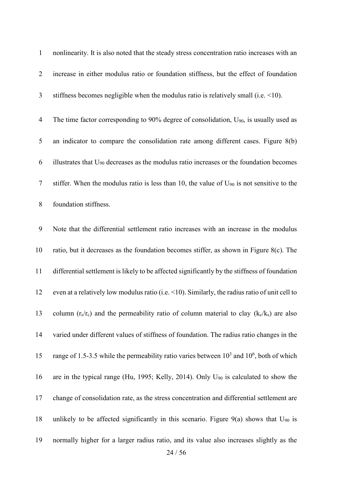nonlinearity. It is also noted that the steady stress concentration ratio increases with an increase in either modulus ratio or foundation stiffness, but the effect of foundation stiffness becomes negligible when the modulus ratio is relatively small (i.e. <10). 4 The time factor corresponding to 90% degree of consolidation,  $U_{90}$ , is usually used as an indicator to compare the consolidation rate among different cases. [Figure 8\(](#page-51-0)b) 6 illustrates that  $U_{90}$  decreases as the modulus ratio increases or the foundation becomes

7 stiffer. When the modulus ratio is less than 10, the value of  $U_{90}$  is not sensitive to the

foundation stiffness.

 Note that the differential settlement ratio increases with an increase in the modulus ratio, but it decreases as the foundation becomes stiffer, as shown in [Figure 8\(](#page-51-0)c). The differential settlement is likely to be affected significantly by the stiffness of foundation even at a relatively low modulus ratio (i.e. <10). Similarly, the radius ratio of unit cell to 13 column  $(r_s/r_c)$  and the permeability ratio of column material to clay  $(k_c/k_s)$  are also varied under different values of stiffness of foundation. The radius ratio changes in the 15 range of 1.5-3.5 while the permeability ratio varies between  $10^3$  and  $10^6$ , both of which are in the typical range (Hu, 1995; Kelly, 2014). Only U90 is calculated to show the change of consolidation rate, as the stress concentration and differential settlement are 18 unlikely to be affected significantly in this scenario. Figure  $9(a)$  shows that  $U_{90}$  is normally higher for a larger radius ratio, and its value also increases slightly as the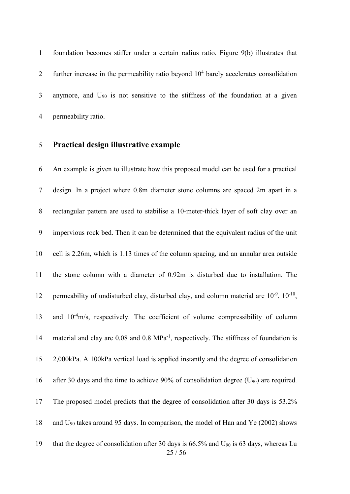foundation becomes stiffer under a certain radius ratio. [Figure 9\(](#page-52-0)b) illustrates that 2 further increase in the permeability ratio beyond  $10<sup>4</sup>$  barely accelerates consolidation 3 anymore, and  $U_{90}$  is not sensitive to the stiffness of the foundation at a given permeability ratio.

#### **Practical design illustrative example**

 / 56 An example is given to illustrate how this proposed model can be used for a practical design. In a project where 0.8m diameter stone columns are spaced 2m apart in a rectangular pattern are used to stabilise a 10-meter-thick layer of soft clay over an impervious rock bed. Then it can be determined that the equivalent radius of the unit cell is 2.26m, which is 1.13 times of the column spacing, and an annular area outside the stone column with a diameter of 0.92m is disturbed due to installation. The 12 permeability of undisturbed clay, disturbed clay, and column material are  $10^{-9}$ ,  $10^{-10}$ , 13 and 10<sup>-4</sup>m/s, respectively. The coefficient of volume compressibility of column 14 material and clay are  $0.08$  and  $0.8$  MPa<sup>-1</sup>, respectively. The stiffness of foundation is 2,000kPa. A 100kPa vertical load is applied instantly and the degree of consolidation after 30 days and the time to achieve 90% of consolidation degree (U90) are required. The proposed model predicts that the degree of consolidation after 30 days is 53.2% 18 and  $U_{90}$  takes around 95 days. In comparison, the model of Han and Ye (2002) shows 19 that the degree of consolidation after 30 days is  $66.5\%$  and  $U_{90}$  is 63 days, whereas Lu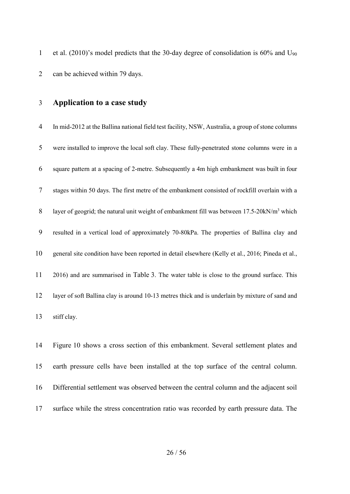1 et al. (2010)'s model predicts that the 30-day degree of consolidation is  $60\%$  and  $U_{90}$ can be achieved within 79 days.

#### **Application to a case study**

 In mid-2012 at the Ballina national field test facility, NSW, Australia, a group of stone columns were installed to improve the local soft clay. These fully-penetrated stone columns were in a square pattern at a spacing of 2-metre. Subsequently a 4m high embankment was built in four stages within 50 days. The first metre of the embankment consisted of rockfill overlain with a 8 layer of geogrid; the natural unit weight of embankment fill was between 17.5-20kN/m<sup>3</sup> which resulted in a vertical load of approximately 70-80kPa. The properties of Ballina clay and general site condition have been reported in detail elsewhere (Kelly et al., 2016; Pineda et al., 2016) and are summarised in [Table 3.](#page-40-0) The water table is close to the ground surface. This layer of soft Ballina clay is around 10-13 metres thick and is underlain by mixture of sand and stiff clay.

 [Figure 10](#page-53-0) shows a cross section of this embankment. Several settlement plates and earth pressure cells have been installed at the top surface of the central column. Differential settlement was observed between the central column and the adjacent soil surface while the stress concentration ratio was recorded by earth pressure data. The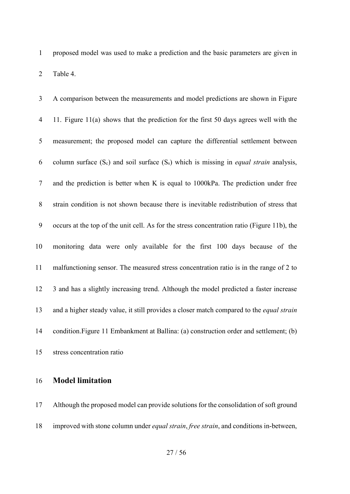proposed model was used to make a prediction and the basic parameters are given in [Table 4.](#page-41-0)

| 3              | A comparison between the measurements and model predictions are shown in Figure                   |
|----------------|---------------------------------------------------------------------------------------------------|
| $\overline{4}$ | 11. Figure 11(a) shows that the prediction for the first 50 days agrees well with the             |
| 5              | measurement; the proposed model can capture the differential settlement between                   |
| 6              | column surface $(S_c)$ and soil surface $(S_s)$ which is missing in <i>equal strain</i> analysis, |
| $\tau$         | and the prediction is better when K is equal to 1000kPa. The prediction under free                |
| 8              | strain condition is not shown because there is inevitable redistribution of stress that           |
| 9              | occurs at the top of the unit cell. As for the stress concentration ratio (Figure 11b), the       |
| 10             | monitoring data were only available for the first 100 days because of the                         |
| 11             | malfunctioning sensor. The measured stress concentration ratio is in the range of 2 to            |
| 12             | 3 and has a slightly increasing trend. Although the model predicted a faster increase             |
| 13             | and a higher steady value, it still provides a closer match compared to the equal strain          |
| 14             | condition. Figure 11 Embankment at Ballina: (a) construction order and settlement; (b)            |
| 15             | stress concentration ratio                                                                        |

### **Model limitation**

 Although the proposed model can provide solutions for the consolidation of soft ground improved with stone column under *equal strain*, *free strain*, and conditions in-between,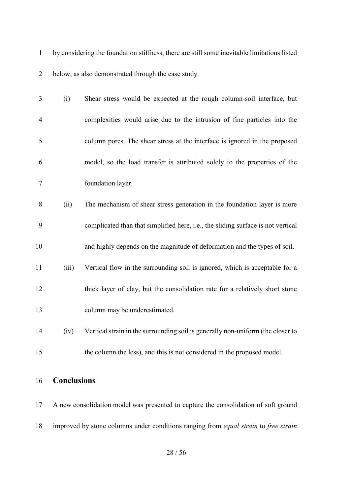by considering the foundation stiffness, there are still some inevitable limitations listed below, as also demonstrated through the case study.

| 3              | (i)   | Shear stress would be expected at the rough column-soil interface, but           |
|----------------|-------|----------------------------------------------------------------------------------|
| $\overline{4}$ |       | complexities would arise due to the intrusion of fine particles into the         |
| 5              |       | column pores. The shear stress at the interface is ignored in the proposed       |
| 6              |       | model, so the load transfer is attributed solely to the properties of the        |
| $\overline{7}$ |       | foundation layer.                                                                |
| 8              | (ii)  | The mechanism of shear stress generation in the foundation layer is more         |
| 9              |       | complicated than that simplified here, i.e., the sliding surface is not vertical |
| 10             |       | and highly depends on the magnitude of deformation and the types of soil.        |
| 11             | (iii) | Vertical flow in the surrounding soil is ignored, which is acceptable for a      |
| 12             |       | thick layer of clay, but the consolidation rate for a relatively short stone     |
| 13             |       | column may be underestimated.                                                    |
| 14             | (iv)  | Vertical strain in the surrounding soil is generally non-uniform (the closer to  |
| 15             |       | the column the less), and this is not considered in the proposed model.          |

# **Conclusions**

 A new consolidation model was presented to capture the consolidation of soft ground improved by stone columns under conditions ranging from *equal strain* to *free strain*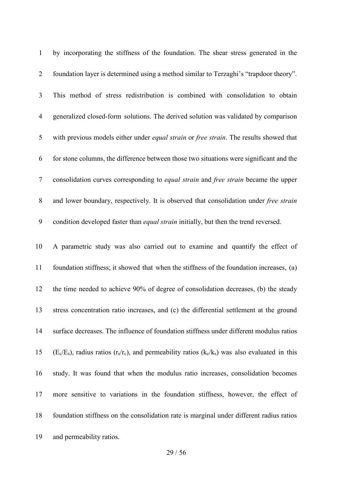| $\mathbf{1}$   | by incorporating the stiffness of the foundation. The shear stress generated in the                                                                 |
|----------------|-----------------------------------------------------------------------------------------------------------------------------------------------------|
| 2              | foundation layer is determined using a method similar to Terzaghi's "trapdoor theory".                                                              |
| 3              | This method of stress redistribution is combined with consolidation to obtain                                                                       |
| $\overline{4}$ | generalized closed-form solutions. The derived solution was validated by comparison                                                                 |
| 5              | with previous models either under equal strain or free strain. The results showed that                                                              |
| 6              | for stone columns, the difference between those two situations were significant and the                                                             |
| $\overline{7}$ | consolidation curves corresponding to equal strain and free strain became the upper                                                                 |
| $8\,$          | and lower boundary, respectively. It is observed that consolidation under free strain                                                               |
| 9              | condition developed faster than equal strain initially, but then the trend reversed.                                                                |
| 10             | A parametric study was also carried out to examine and quantify the effect of                                                                       |
| 11             | foundation stiffness; it showed that when the stiffness of the foundation increases, (a)                                                            |
| 12             | the time needed to achieve 90% of degree of consolidation decreases, (b) the steady                                                                 |
| 13             | stress concentration ratio increases, and (c) the differential settlement at the ground                                                             |
| 14             | surface decreases. The influence of foundation stiffness under different modulus ratios                                                             |
| 15             | $(E_c/E_s)$ , radius ratios (r <sub>s</sub> /r <sub>c</sub> ), and permeability ratios (k <sub>c</sub> /k <sub>s</sub> ) was also evaluated in this |
| 16             | study. It was found that when the modulus ratio increases, consolidation becomes                                                                    |
| 17             | more sensitive to variations in the foundation stiffness, however, the effect of                                                                    |
| 18             | foundation stiffness on the consolidation rate is marginal under different radius ratios                                                            |
| 19             | and permeability ratios.                                                                                                                            |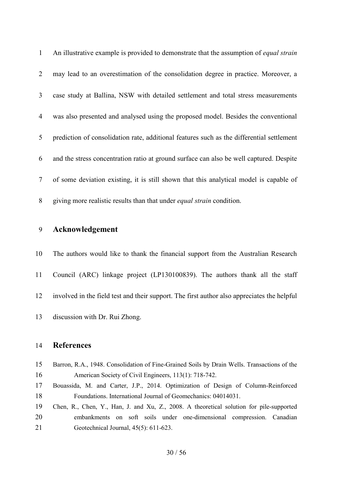| 1              | An illustrative example is provided to demonstrate that the assumption of <i>equal strain</i> |
|----------------|-----------------------------------------------------------------------------------------------|
| 2              | may lead to an overestimation of the consolidation degree in practice. Moreover, a            |
| 3 <sup>7</sup> | case study at Ballina, NSW with detailed settlement and total stress measurements             |
| 4              | was also presented and analysed using the proposed model. Besides the conventional            |
| 5 <sup>5</sup> | prediction of consolidation rate, additional features such as the differential settlement     |
| 6              | and the stress concentration ratio at ground surface can also be well captured. Despite       |
| $7\degree$     | of some deviation existing, it is still shown that this analytical model is capable of        |
| 8              | giving more realistic results than that under <i>equal strain</i> condition.                  |

### **Acknowledgement**

 The authors would like to thank the financial support from the Australian Research Council (ARC) linkage project (LP130100839). The authors thank all the staff involved in the field test and their support. The first author also appreciates the helpful discussion with Dr. Rui Zhong.

#### **References**

| 15 | Barron, R.A., 1948. Consolidation of Fine-Grained Soils by Drain Wells. Transactions of the |
|----|---------------------------------------------------------------------------------------------|
| 16 | American Society of Civil Engineers, 113(1): 718-742.                                       |

- Bouassida, M. and Carter, J.P., 2014. Optimization of Design of Column-Reinforced Foundations. International Journal of Geomechanics: 04014031.
- Chen, R., Chen, Y., Han, J. and Xu, Z., 2008. A theoretical solution for pile-supported embankments on soft soils under one-dimensional compression. Canadian Geotechnical Journal, 45(5): 611-623.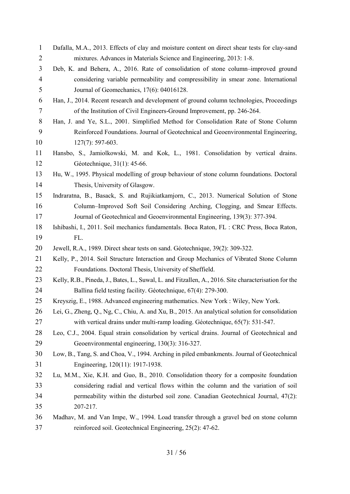| $\mathbf{1}$   | Dafalla, M.A., 2013. Effects of clay and moisture content on direct shear tests for clay-sand        |
|----------------|------------------------------------------------------------------------------------------------------|
| $\overline{2}$ | mixtures. Advances in Materials Science and Engineering, 2013: 1-8.                                  |
| 3              | Deb, K. and Behera, A., 2016. Rate of consolidation of stone column-improved ground                  |
| $\overline{4}$ | considering variable permeability and compressibility in smear zone. International                   |
| 5              | Journal of Geomechanics, 17(6): 04016128.                                                            |
| 6              | Han, J., 2014. Recent research and development of ground column technologies, Proceedings            |
| $\tau$         | of the Institution of Civil Engineers-Ground Improvement, pp. 246-264.                               |
| 8              | Han, J. and Ye, S.L., 2001. Simplified Method for Consolidation Rate of Stone Column                 |
| 9              | Reinforced Foundations. Journal of Geotechnical and Geoenvironmental Engineering,                    |
| 10             | $127(7)$ : 597-603.                                                                                  |
| 11             | Hansbo, S., Jamiolkowski, M. and Kok, L., 1981. Consolidation by vertical drains.                    |
| 12             | Géotechnique, 31(1): 45-66.                                                                          |
| 13             | Hu, W., 1995. Physical modelling of group behaviour of stone column foundations. Doctoral            |
| 14             | Thesis, University of Glasgow.                                                                       |
| 15             | Indraratna, B., Basack, S. and Rujikiatkamjorn, C., 2013. Numerical Solution of Stone                |
| 16             | Column–Improved Soft Soil Considering Arching, Clogging, and Smear Effects.                          |
| 17             | Journal of Geotechnical and Geoenvironmental Engineering, 139(3): 377-394.                           |
| 18             | Ishibashi, I., 2011. Soil mechanics fundamentals. Boca Raton, FL : CRC Press, Boca Raton,            |
|                |                                                                                                      |
| 19             | FL.                                                                                                  |
| 20             | Jewell, R.A., 1989. Direct shear tests on sand. Géotechnique, 39(2): 309-322.                        |
| 21             | Kelly, P., 2014. Soil Structure Interaction and Group Mechanics of Vibrated Stone Column             |
| 22             | Foundations. Doctoral Thesis, University of Sheffield.                                               |
| 23             | Kelly, R.B., Pineda, J., Bates, L., Suwal, L. and Fitzallen, A., 2016. Site characterisation for the |
| 24             | Ballina field testing facility. Géotechnique, 67(4): 279-300.                                        |
| 25             | Kreyszig, E., 1988. Advanced engineering mathematics. New York : Wiley, New York.                    |
| 26             | Lei, G., Zheng, Q., Ng, C., Chiu, A. and Xu, B., 2015. An analytical solution for consolidation      |
| 27             | with vertical drains under multi-ramp loading. Géotechnique, 65(7): 531-547.                         |
| 28             | Leo, C.J., 2004. Equal strain consolidation by vertical drains. Journal of Geotechnical and          |
| 29             | Geoenvironmental engineering, 130(3): 316-327.                                                       |
| 30             | Low, B., Tang, S. and Choa, V., 1994. Arching in piled embankments. Journal of Geotechnical          |
| 31             | Engineering, 120(11): 1917-1938.                                                                     |
| 32             | Lu, M.M., Xie, K.H. and Guo, B., 2010. Consolidation theory for a composite foundation               |
| 33             | considering radial and vertical flows within the column and the variation of soil                    |
| 34             | permeability within the disturbed soil zone. Canadian Geotechnical Journal, 47(2):                   |
| 35             | 207-217.                                                                                             |
| 36             | Madhav, M. and Van Impe, W., 1994. Load transfer through a gravel bed on stone column                |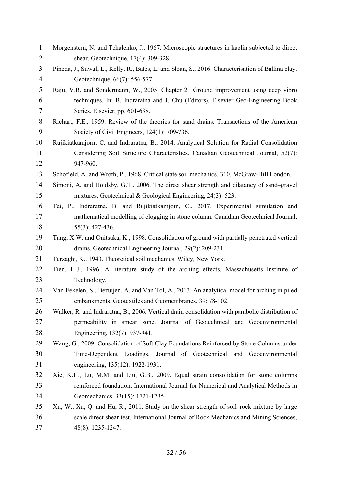| $\mathbf{1}$   | Morgenstern, N. and Tchalenko, J., 1967. Microscopic structures in kaolin subjected to direct      |
|----------------|----------------------------------------------------------------------------------------------------|
| $\overline{2}$ | shear. Geotechnique, 17(4): 309-328.                                                               |
| 3              | Pineda, J., Suwal, L., Kelly, R., Bates, L. and Sloan, S., 2016. Characterisation of Ballina clay. |
| $\overline{4}$ | Géotechnique, 66(7): 556-577.                                                                      |
| 5              | Raju, V.R. and Sondermann, W., 2005. Chapter 21 Ground improvement using deep vibro                |
| 6              | techniques. In: B. Indraratna and J. Chu (Editors), Elsevier Geo-Engineering Book                  |
| $\tau$         | Series. Elsevier, pp. 601-638.                                                                     |
| 8              | Richart, F.E., 1959. Review of the theories for sand drains. Transactions of the American          |
| 9              | Society of Civil Engineers, 124(1): 709-736.                                                       |
| 10             | Rujikiatkamjorn, C. and Indraratna, B., 2014. Analytical Solution for Radial Consolidation         |
| 11             | Considering Soil Structure Characteristics. Canadian Geotechnical Journal, 52(7):                  |
| 12             | 947-960.                                                                                           |
| 13             | Schofield, A. and Wroth, P., 1968. Critical state soil mechanics, 310. McGraw-Hill London.         |
| 14             | Simoni, A. and Houlsby, G.T., 2006. The direct shear strength and dilatancy of sand-gravel         |
| 15             | mixtures. Geotechnical & Geological Engineering, 24(3): 523.                                       |
| 16             | Tai, P., Indraratna, B. and Rujikiatkamjorn, C., 2017. Experimental simulation and                 |
| 17             | mathematical modelling of clogging in stone column. Canadian Geotechnical Journal,                 |
| 18             | $55(3): 427-436.$                                                                                  |
| 19             | Tang, X.W. and Onitsuka, K., 1998. Consolidation of ground with partially penetrated vertical      |
| 20             | drains. Geotechnical Engineering Journal, 29(2): 209-231.                                          |
| 21             | Terzaghi, K., 1943. Theoretical soil mechanics. Wiley, New York.                                   |
| 22             | Tien, H.J., 1996. A literature study of the arching effects, Massachusetts Institute of            |
| 23             | Technology.                                                                                        |
| 24             | Van Eekelen, S., Bezuijen, A. and Van Tol, A., 2013. An analytical model for arching in piled      |
| 25             | embankments. Geotextiles and Geomembranes, 39: 78-102.                                             |
| 26             | Walker, R. and Indraratna, B., 2006. Vertical drain consolidation with parabolic distribution of   |
| 27             | permeability in smear zone. Journal of Geotechnical and Geoenvironmental                           |
| 28             | Engineering, 132(7): 937-941.                                                                      |
| 29             | Wang, G., 2009. Consolidation of Soft Clay Foundations Reinforced by Stone Columns under           |
| 30             | Time-Dependent Loadings. Journal of Geotechnical and Geoenvironmental                              |
| 31             | engineering, 135(12): 1922-1931.                                                                   |
| 32             | Xie, K.H., Lu, M.M. and Liu, G.B., 2009. Equal strain consolidation for stone columns              |
| 33             | reinforced foundation. International Journal for Numerical and Analytical Methods in               |
| 34             | Geomechanics, 33(15): 1721-1735.                                                                   |
| 35             | Xu, W., Xu, Q. and Hu, R., 2011. Study on the shear strength of soil-rock mixture by large         |
| 36             | scale direct shear test. International Journal of Rock Mechanics and Mining Sciences,              |
| 37             | 48(8): 1235-1247.                                                                                  |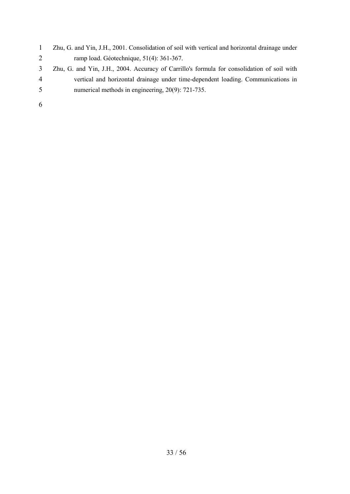- Zhu, G. and Yin, J.H., 2001. Consolidation of soil with vertical and horizontal drainage under ramp load. Géotechnique, 51(4): 361-367.
- Zhu, G. and Yin, J.H., 2004. Accuracy of Carrillo's formula for consolidation of soil with vertical and horizontal drainage under time-dependent loading. Communications in numerical methods in engineering, 20(9): 721-735.
-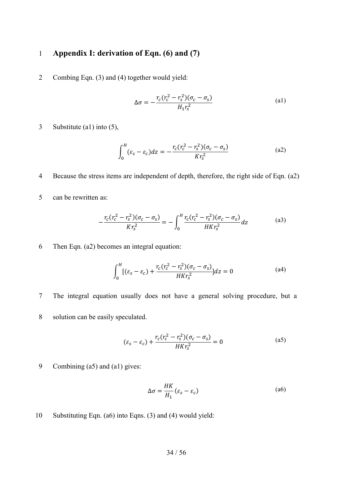# 1 **Appendix I: derivation of Eqn. (6) and (7)**

2 Combing Eqn. (3) and (4) together would yield:

$$
\Delta \sigma = -\frac{r_c (r_c^2 - r_s^2)(\sigma_c - \sigma_s)}{H_1 r_s^2}
$$
 (a1)

3 Substitute (a1) into (5),

$$
\int_0^H (\varepsilon_s - \varepsilon_c) dz = -\frac{r_c (r_c^2 - r_s^2)(\sigma_c - \sigma_s)}{K r_s^2}
$$
 (a2)

- 4 Because the stress items are independent of depth, therefore, the right side of Eqn. (a2)
- 5 can be rewritten as:

$$
-\frac{r_c(r_c^2 - r_s^2)(\sigma_c - \sigma_s)}{Kr_s^2} = -\int_0^H \frac{r_c(r_c^2 - r_s^2)(\sigma_c - \sigma_s)}{HKr_s^2} dz
$$
 (a3)

6 Then Eqn. (a2) becomes an integral equation:

$$
\int_0^H [(\varepsilon_s - \varepsilon_c) + \frac{r_c (r_c^2 - r_s^2)(\sigma_c - \sigma_s)}{HKr_s^2}] dz = 0
$$
 (a4)

7 The integral equation usually does not have a general solving procedure, but a

8 solution can be easily speculated.

$$
(\varepsilon_s - \varepsilon_c) + \frac{r_c (r_c^2 - r_s^2)(\sigma_c - \sigma_s)}{HKr_s^2} = 0
$$
 (a5)

9 Combining (a5) and (a1) gives:

$$
\Delta \sigma = \frac{HK}{H_1} (\varepsilon_s - \varepsilon_c)
$$
 (a6)

10 Substituting Eqn. (a6) into Eqns. (3) and (4) would yield: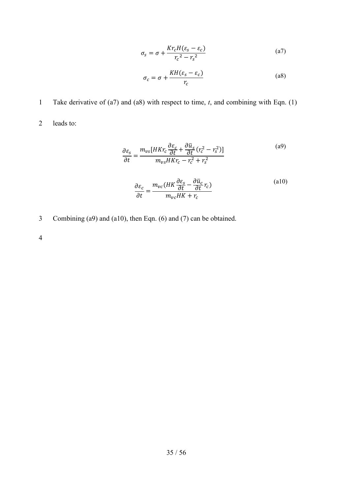$$
\sigma_{s} = \sigma + \frac{Kr_{c}H(\varepsilon_{s} - \varepsilon_{c})}{r_{c}^{2} - r_{s}^{2}} \tag{a7}
$$

$$
\sigma_c = \sigma + \frac{KH(\varepsilon_s - \varepsilon_c)}{r_c} \tag{a8}
$$

1 Take derivative of (a7) and (a8) with respect to time, *t*, and combining with Eqn. (1)

2 leads to:

$$
\frac{\partial \varepsilon_{s}}{\partial t} = \frac{m_{vs} [HKr_{c} \frac{\partial \varepsilon_{c}}{\partial t} + \frac{\partial \bar{u}_{s}}{\partial t} (r_{c}^{2} - r_{s}^{2})]}{m_{vs} HKr_{c} - r_{c}^{2} + r_{s}^{2}}
$$
\n
$$
\frac{\partial \varepsilon_{c}}{\partial t} = \frac{m_{vc} (HK \frac{\partial \varepsilon_{s}}{\partial t} - \frac{\partial \bar{u}_{c}}{\partial t} r_{c})}{m_{vc} HK + r_{c}}
$$
\n(a10)

3 Combining (a9) and (a10), then Eqn. (6) and (7) can be obtained.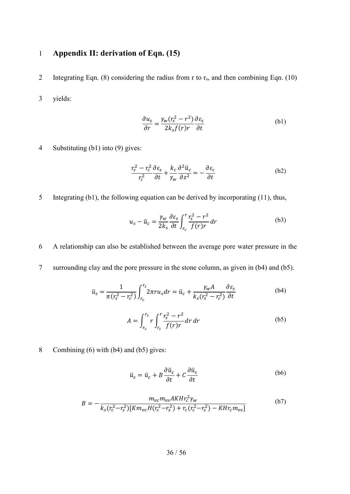# 1 **Appendix II: derivation of Eqn. (15)**

2 Integrating Eqn. (8) considering the radius from r to  $r_s$ , and then combining Eqn. (10)

3 yields:

$$
\frac{\partial u_s}{\partial r} = \frac{\gamma_w (r_s^2 - r^2)}{2k_s f(r)r} \frac{\partial \varepsilon_s}{\partial t}
$$
 (b1)

4 Substituting (b1) into [\(9\)](#page-9-3) gives:

$$
\frac{r_s^2 - r_c^2}{r_c^2} \frac{\partial \varepsilon_s}{\partial t} + \frac{k_c}{\gamma_w} \frac{\partial^2 \bar{u}_c}{\partial z^2} = -\frac{\partial \varepsilon_c}{\partial t}
$$
 (b2)

5 Integrating (b1), the following equation can be derived by incorporating [\(11\)](#page-10-2), thus,

$$
u_s - \bar{u}_c = \frac{\gamma_w}{2k_s} \frac{\partial \varepsilon_s}{\partial t} \int_{r_c}^r \frac{r_s^2 - r^2}{f(r)r} dr
$$
 (b3)

6 A relationship can also be established between the average pore water pressure in the

7 surrounding clay and the pore pressure in the stone column, as given in (b4) and (b5).

$$
\bar{u}_s = \frac{1}{\pi (r_s^2 - r_c^2)} \int_{r_c}^{r_s} 2\pi r u_s dr = \bar{u}_c + \frac{\gamma_w A}{k_s (r_s^2 - r_c^2)} \frac{\partial \varepsilon_s}{\partial t}
$$
(b4)

$$
A = \int_{r_c}^{r_s} r \int_{r_c}^{r} \frac{r_s^2 - r^2}{f(r)r} dr dr
$$
 (b5)

8 Combining [\(6\)](#page-9-0) with (b4) and (b5) gives:

$$
\bar{u}_s = \bar{u}_c + B\frac{\partial \bar{u}_c}{\partial t} + C\frac{\partial \bar{u}_s}{\partial t}
$$
 (b6)

$$
B = -\frac{m_{vc}m_{vs}AKHr_c^2\gamma_w}{k_s(r_c^2 - r_s^2)[Km_{vc}H(r_c^2 - r_s^2) + r_c(r_c^2 - r_s^2) - KHr_cm_{vs}]} \tag{b7}
$$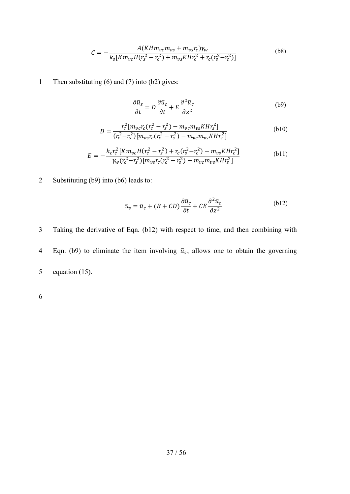$$
C = -\frac{A(KHm_{vc}m_{vs} + m_{vs}r_c)\gamma_w}{k_s[Km_{vc}H(r_s^2 - r_c^2) + m_{vs}KHr_c^2 + r_c(r_s^2 - r_c^2)]}
$$
(b8)

1 Then substituting [\(6\)](#page-9-0) and (7) into (b2) gives:

$$
\frac{\partial \bar{u}_s}{\partial t} = D \frac{\partial \bar{u}_c}{\partial t} + E \frac{\partial^2 \bar{u}_c}{\partial z^2}
$$
 (b9)

$$
D = \frac{r_c^2 [m_{vc}r_c(r_c^2 - r_s^2) - m_{vc}m_{vs}Khr_s^2]}{(r_c^2 - r_s^2)[m_{vs}r_c(r_c^2 - r_s^2) - m_{vc}m_{vs}Khr_s^2]}
$$
(b10)

$$
E = -\frac{k_c r_c^2 [Km_{vc}H(r_c^2 - r_s^2) + r_c(r_s^2 - r_c^2) - m_{vs}K H r_c^2]}{\gamma_w (r_c^2 - r_s^2) [m_{vs}r_c (r_c^2 - r_s^2) - m_{vc}m_{vs}K H r_s^2]}
$$
(b11)

2 Substituting (b9) into (b6) leads to:

$$
\bar{u}_s = \bar{u}_c + (B + CD)\frac{\partial \bar{u}_c}{\partial t} + CE\frac{\partial^2 \bar{u}_c}{\partial z^2}
$$
 (b12)

3 Taking the derivative of Eqn. (b12) with respect to time, and then combining with 4 Eqn. (b9) to eliminate the item involving  $\bar{u}_s$ , allows one to obtain the governing 5 equation (15).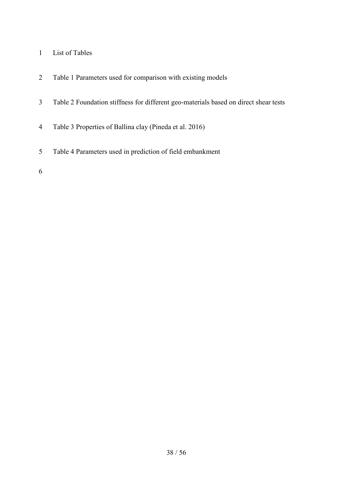- List of Tables
- Table 1 Parameters used for comparison with existing models
- Table 2 Foundation stiffness for different geo-materials based on direct shear tests
- Table 3 Properties of Ballina clay (Pineda et al. 2016)
- Table 4 Parameters used in prediction of field embankment
-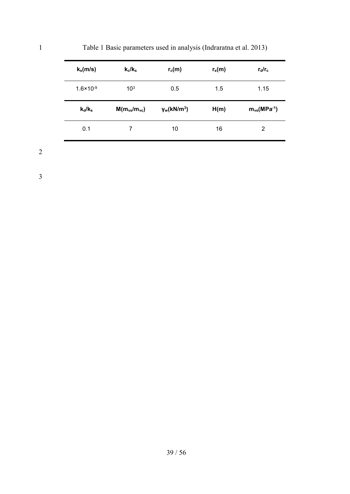| $k_s$ (m/s)          | $k_c/k_s$          | $r_c(m)$           | $r_s(m)$ | $r_{\rm d}/r_{\rm c}$         |
|----------------------|--------------------|--------------------|----------|-------------------------------|
| $1.6 \times 10^{-9}$ | $10^{3}$           | 0.5                | 1.5      | 1.15                          |
| $k_d/k_s$            | $M(m_{vs}/m_{vc})$ | $\gamma_w(kN/m^3)$ | H(m)     | $m_{vs}$ (MPa <sup>-1</sup> ) |

0.1 7 10 16 2

<span id="page-38-0"></span>1 Table 1 Basic parameters used in analysis (Indraratna et al. 2013)

2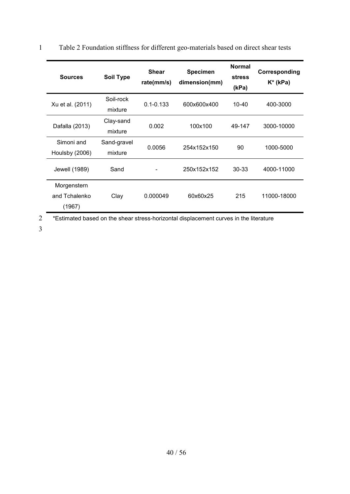| <b>Sources</b>                         | <b>Soil Type</b>       | <b>Shear</b><br>rate(mm/s) | <b>Specimen</b><br>dimension(mm) | <b>Normal</b><br><b>stress</b><br>(kPa) | Corresponding<br>$K^*$ (kPa) |
|----------------------------------------|------------------------|----------------------------|----------------------------------|-----------------------------------------|------------------------------|
| Xu et al. (2011)                       | Soil-rock<br>mixture   | $0.1 - 0.133$              | 600x600x400                      | $10 - 40$                               | 400-3000                     |
| Dafalla (2013)                         | Clay-sand<br>mixture   | 0.002                      | 100x100                          | 49-147                                  | 3000-10000                   |
| Simoni and<br>Houlsby (2006)           | Sand-gravel<br>mixture | 0.0056                     | 254x152x150                      | 90                                      | 1000-5000                    |
| Jewell (1989)                          | Sand                   |                            | 250x152x152                      | 30-33                                   | 4000-11000                   |
| Morgenstern<br>and Tchalenko<br>(1967) | Clay                   | 0.000049                   | 60x60x25                         | 215                                     | 11000-18000                  |

<span id="page-39-0"></span>1 Table 2 Foundation stiffness for different geo-materials based on direct shear tests

2 \*Estimated based on the shear stress-horizontal displacement curves in the literature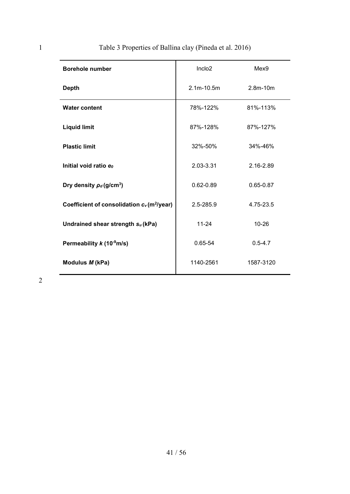| <b>Borehole number</b>                                             | Inclo <sub>2</sub> | Mex9          |
|--------------------------------------------------------------------|--------------------|---------------|
| <b>Depth</b>                                                       | $2.1m - 10.5m$     | $2.8m - 10m$  |
| <b>Water content</b>                                               | 78%-122%           | 81%-113%      |
| <b>Liquid limit</b>                                                | 87%-128%           | 87%-127%      |
| <b>Plastic limit</b>                                               | 32%-50%            | 34%-46%       |
| Initial void ratio e                                               | 2.03-3.31          | 2.16-2.89     |
| Dry density $\rho_d$ (g/cm <sup>3</sup> )                          | $0.62 - 0.89$      | $0.65 - 0.87$ |
| Coefficient of consolidation c <sub>v</sub> (m <sup>2</sup> /year) | 2.5-285.9          | 4.75-23.5     |
| Undrained shear strength su (kPa)                                  | $11 - 24$          | $10 - 26$     |
| Permeability $k(10^3 \text{m/s})$                                  | 0.65-54            | $0.5 - 4.7$   |
| Modulus M (kPa)                                                    | 1140-2561          | 1587-3120     |

# <span id="page-40-0"></span>1 Table 3 Properties of Ballina clay (Pineda et al. 2016)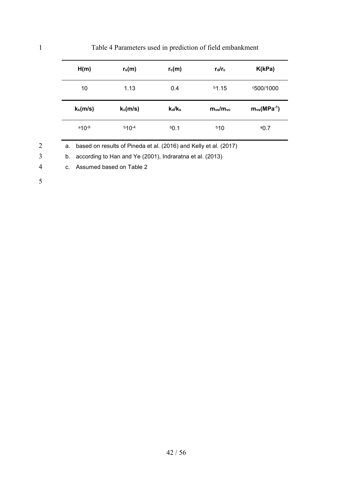| H(m)        | $r_s(m)$    | $r_c(m)$  | $r_{\rm d}/r_{\rm c}$ | K(kPa)                        |
|-------------|-------------|-----------|-----------------------|-------------------------------|
| 10          | 1.13        | 0.4       | $b$ 1.15              | °500/1000                     |
|             |             |           |                       |                               |
| $k_s$ (m/s) | $k_c$ (m/s) | $k_d/k_s$ | $m_{vs}/m_{vc}$       | $m_{vs}$ (MPa <sup>-1</sup> ) |

#### Table 4 Parameters used in prediction of field embankment

a. based on results of Pineda et al. (2016) and Kelly et al. (2017)

b. according to Han and Ye (2001), Indraratna et al. (2013)

c. Assumed based on Table 2

<span id="page-41-0"></span>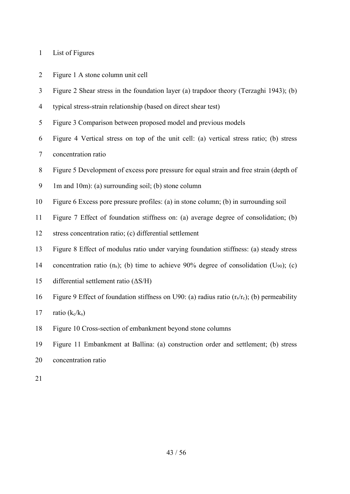|  |  |  | List of Figures |
|--|--|--|-----------------|
|--|--|--|-----------------|

| $\sim$<br>$\angle$ |  |  |  | Figure 1 A stone column unit cell |  |  |
|--------------------|--|--|--|-----------------------------------|--|--|
|--------------------|--|--|--|-----------------------------------|--|--|

- Figure 2 Shear stress in the foundation layer (a) trapdoor theory (Terzaghi 1943); (b)
- typical stress-strain relationship (based on direct shear test)
- Figure 3 Comparison between proposed model and previous models
- Figure 4 Vertical stress on top of the unit cell: (a) vertical stress ratio; (b) stress
- concentration ratio
- Figure 5 Development of excess pore pressure for equal strain and free strain (depth of
- 1m and 10m): (a) surrounding soil; (b) stone column
- Figure 6 Excess pore pressure profiles: (a) in stone column; (b) in surrounding soil
- Figure 7 Effect of foundation stiffness on: (a) average degree of consolidation; (b)
- stress concentration ratio; (c) differential settlement
- Figure 8 Effect of modulus ratio under varying foundation stiffness: (a) steady stress
- 14 concentration ratio  $(n_s)$ ; (b) time to achieve 90% degree of consolidation (U<sub>90</sub>); (c)
- differential settlement ratio (ΔS/H)
- 16 Figure 9 Effect of foundation stiffness on U90: (a) radius ratio  $(r_s/r_c)$ ; (b) permeability
- 17 ratio  $(k_c/k_s)$
- Figure 10 Cross-section of embankment beyond stone columns
- Figure 11 Embankment at Ballina: (a) construction order and settlement; (b) stress
- concentration ratio
-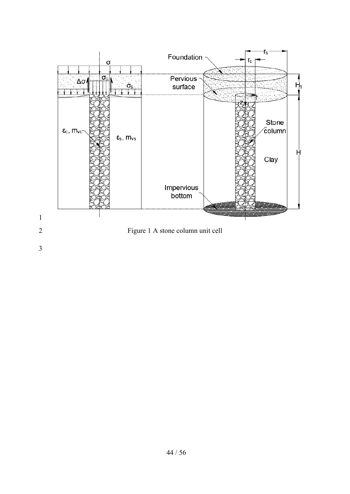<span id="page-43-0"></span>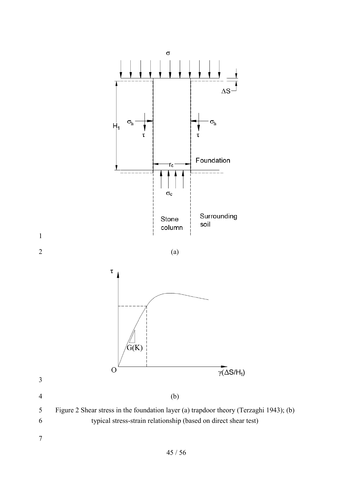

<span id="page-44-0"></span>/ 56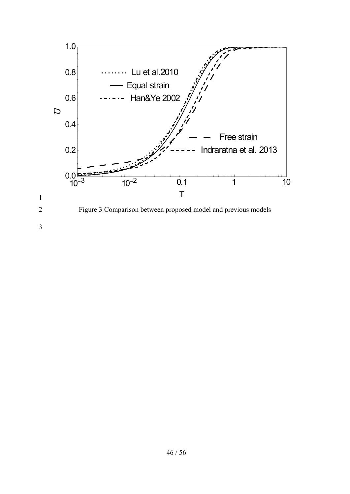<span id="page-45-0"></span>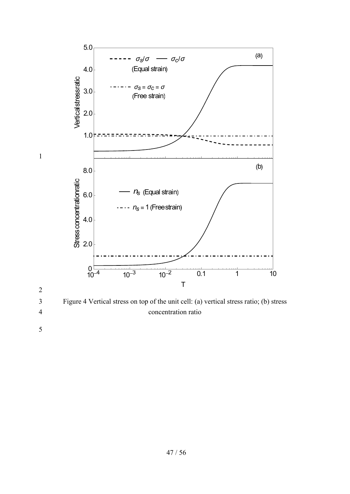

<span id="page-46-0"></span>3 Figure 4 Vertical stress on top of the unit cell: (a) vertical stress ratio; (b) stress 4 concentration ratio

2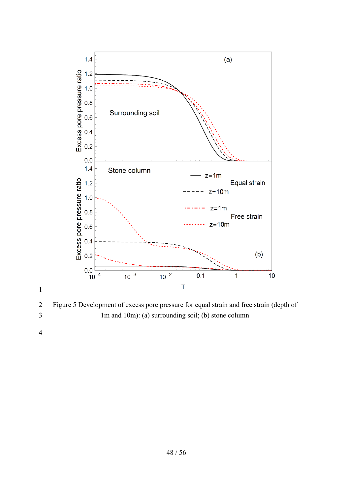

<span id="page-47-0"></span> Figure 5 Development of excess pore pressure for equal strain and free strain (depth of 1m and 10m): (a) surrounding soil; (b) stone column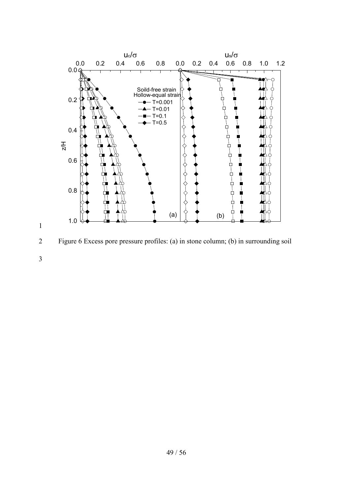

<span id="page-48-0"></span>2 Figure 6 Excess pore pressure profiles: (a) in stone column; (b) in surrounding soil

3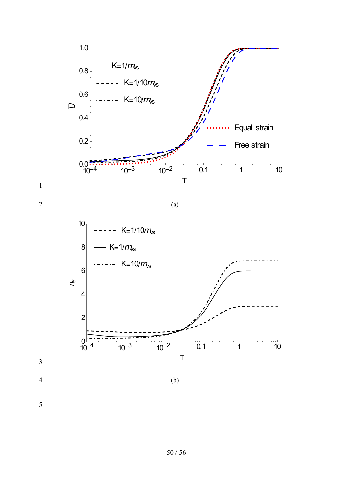

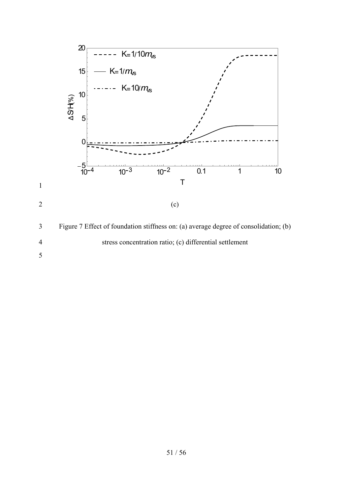<span id="page-50-0"></span>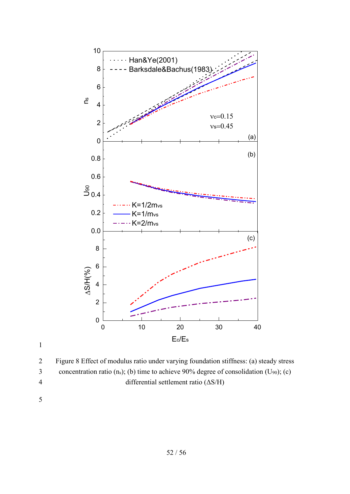

<span id="page-51-0"></span>2 Figure 8 Effect of modulus ratio under varying foundation stiffness: (a) steady stress 3 concentration ratio  $(n_s)$ ; (b) time to achieve 90% degree of consolidation  $(U_{90})$ ; (c) 4 differential settlement ratio (ΔS/H)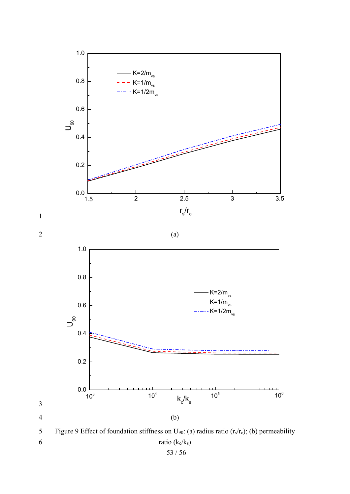

<span id="page-52-0"></span>53 / 56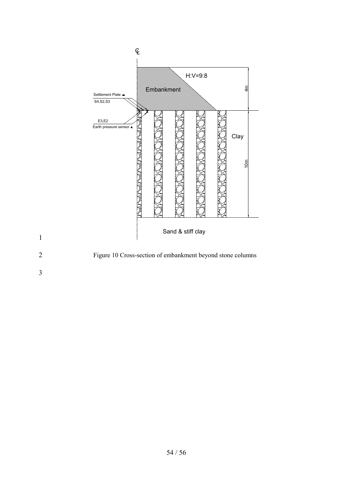<span id="page-53-0"></span>

2 Figure 10 Cross-section of embankment beyond stone columns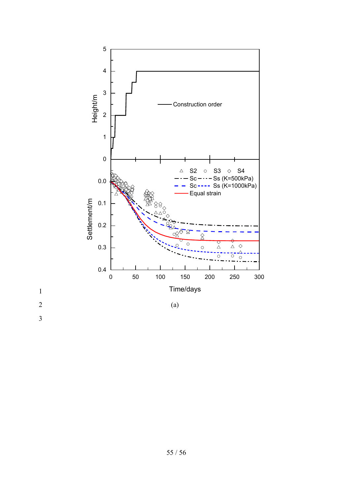